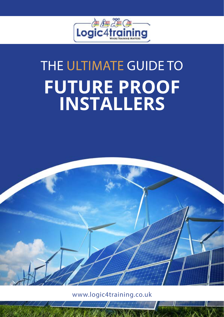

# THE ULTIMATE GUIDE TO **FUTURE PROOF INSTALLERS**



www.logic4training.co.uk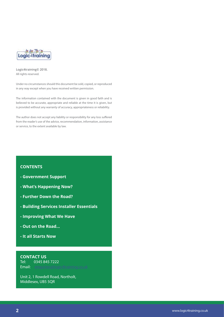

**Logic4training© 2018.**  All rights reserved.

Under no circumstances should this document be sold, copied, or reproduced in any way except when you have received written permission.

The information contained with the document is given in good faith and is believed to be accurate, appropriate and reliable at the time it is given, but is provided without any warranty of accuracy, appropriateness or reliability.

The author does not accept any liability or responsibility for any loss suffered from the reader's use of the advice, recommendation, information, assistance or service, to the extent available by law.

#### **CONTENTS**

- **Government Support**
- **What's Happening Now?**
- **Further Down the Road?**
- **Building Services Installer Essentials**
- **Improving What We Have**
- **Out on the Road...**
- **It all Starts Now**

**CONTACT US** Tel: 0345 845 7222 Email: [enquiries@logic4training.co.uk](mailto:enquiries%40logic4training.co.uk?subject=)

Unit 2, 1 Rowdell Road, Northolt, Middlesex, UB5 5QR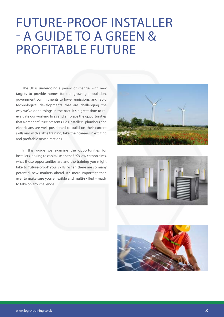### FUTURE-PROOF INSTALLER - A GUIDE TO A GREEN & PROFITABLE FUTURE

The UK is undergoing a period of change, with new targets to provide homes for our growing population, government commitments to lower emissions, and rapid technological developments that are challenging the way we've done things in the past. It's a great time to reevaluate our working lives and embrace the opportunities that a greener future presents. Gas installers, plumbers and electricians are well positioned to build on their current skills and with a little training, take their careers in exciting and profitable new directions.

In this guide we examine the opportunities for installers looking to capitalise on the UK's low carbon aims, what those opportunities are and the training you might take to 'future-proof' your skills. When there are so many potential new markets ahead, it's more important than ever to make sure you're flexible and multi-skilled – ready to take on any challenge.





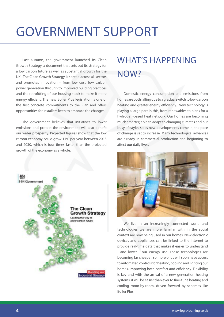## GOVERNMENT SUPPORT

Last autumn, the government launched its Clean Growth Strategy, a document that sets out its strategy for a low carbon future as well as substantial growth for the UK. The Clean Growth Strategy is spread across all sectors and promotes innovation – from low cost, low carbon power generation through to improved building practices and the retrofitting of our housing stock to make it more energy efficient. The new Boiler Plus legislation is one of the first concrete commitments to the Plan and offers opportunities for installers keen to embrace the changes.

The government believes that initiatives to lower emissions and protect the environment will also benefit our wider prosperity. Projected figures show that the low carbon economy could grow 11% per year between 2015 and 2030, which is four times faster than the projected growth of the economy as a whole.



### WHAT'S HAPPENING NOW?

Domestic energy consumption and emissions from homes are both falling due to a gradual switch to low-carbon heating and greater energy efficiency. New technology is playing a large part in this, from renewables to plans for a hydrogen-based heat network. Our homes are becoming much smarter; able to adapt to changing climates and our busy lifestyles so as new developments come in, the pace of change is set to increase. Many technological advances are already in commercial production and beginning to affect our daily lives.



We live in an increasingly connected world and technologies we are more familiar with in the social context are now being used in our homes. New electronic devices and appliances can be linked to the internet to provide real-time data that makes it easier to understand - and lower - our energy use. These technologies are becoming far cheaper, so more of us will soon have access to automated controls for heating, cooling and lighting our homes, improving both comfort and efficiency. Flexibility is key and with the arrival of a new generation heating systems, it will be easier than ever to fine-tune heating and cooling room-by-room, driven forward by schemes like Boiler Plus.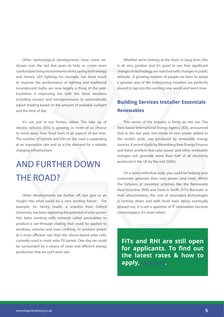Other technological developments have come onstream over the last few years to help us create more comfortable living environments whilst saving both energy and money. LED lighting, for example, has done much to improve the performance of lighting and traditional incandescent bulbs are now largely a thing of the past. Insulation is improving too with the latest windows including sensors and microprocessors to automatically adjust shading based on the amount of available sunlight and the time of day.

It's not just in our homes, either. The take up of electric vehicles (EVs) is growing as more of us choose to move away from fossil fuels in all aspects of our lives. The number of hybrids and EVs on the road is expanding at an impressive rate and so is the demand for a reliable charging infrastructure.

### AND FURTHER DOWN THE ROAD?

Other developments are further off, but give us an insight into what could be a very exciting future. For example, Dr. Henry Snaith, a scientist from Oxford University, has been exploring the potential of solar power. He's been working with minerals called perovskites to produce a see-through coating that could be applied to windows, vehicles and even clothing, to produce power at a more efficient rate than the silicon-based solar cells, currently used in most solar PV panels. One day we could be surrounded by a means of clean and efficient energy production that we can't even see!

Whether we're looking at the short or long term, this is all very positive and it's good to see that significant changes in technology are matched with changes in public attitude. A growing number of people are keen to adopt a greener way of life. Enterprising installers are perfectly placed to tap into this exciting new world and here's how:

#### **Renewables Building Services Installer Essentials**

This sector of the industry is firmly on the rise. The Paris based International Energy Agency (IEA), announced that in the last year, two-thirds of new power added to the world's grids, was produced by renewable energy sources. A recent study by Bloomberg New Energy Finance and Eaton predicts that solar power and other renewable energies will generate more than half of all electricity produced in the UK by the mid 2020's.

On a more individual scale, you could be helping your customers generate their own power (and heat). Whilst the fortunes of incentive schemes like the Renewable Heat Incentive (RHI) and Feed in Tariffs (FiTs) fluctuate in their attractiveness, the cost of associated technologies is coming down and with fossil fuels being eventually phased out, it is not a question of 'if' renewables become commonplace, it's more 'when'.

**FiTs and RHI are still open for applicants. To find out the latest rates & how to apply,** [click here](https://www.ofgem.gov.uk/environmental-programmes
)**.**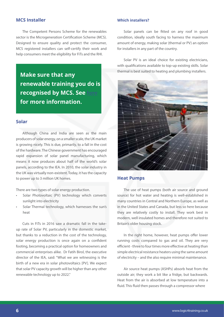#### **MCS Installer**

The Competent Persons Scheme for the renewables sector is the Microgeneration Certification Scheme (MCS). Designed to ensure quality and protect the consumer, MCS registered installers can self-certify their work and help consumers meet the eligibility for FiTs and the RHI.

**Make sure that any renewable training you do is recognised by MCS. See** [here](http://www.microgenerationcertification.org) **for more information.**

#### **Solar**

Although China and India are seen as the main producers of solar energy, on a smaller scale, the UK market is growing nicely. This is due, primarily, to a fall in the cost of the hardware. The Chinese government has encouraged rapid expansion of solar panel manufacturing, which means it now produces about half of the world's solar panels, according to the IEA. In 2010, the solar industry in the UK was virtually non-existent. Today, it has the capacity to power up to 3 million UK homes.

There are two types of solar energy production.

- Solar Photovoltaic (PV) technology which converts sunlight into electricity
- Solar Thermal technology, which harnesses the sun's heat

Cuts in FiTs in 2016 saw a dramatic fall in the takeup rate of Solar PV, particularly in the domestic market, but thanks to a reduction in the cost of the technology, solar energy production is once again on a confident footing, becoming a practical option for homeowners and commercial enterprises alike. Dr Fatih Birol, the executive director of the IEA, said: "What we are witnessing is the birth of a new era in solar photovoltaics [PV]. We expect that solar PV capacity growth will be higher than any other renewable technology up to 2022."

#### **Which installers?**

Solar panels can be fitted on any roof in good condition, ideally south facing to harness the maximum amount of energy, making solar (thermal or PV) an option for installers in any part of the country.

Solar PV is an ideal choice for existing electricians, with qualifications available to top-up existing skills. Solar thermal is best suited to heating and plumbing installers.



#### **Heat Pumps**

The use of heat pumps (both air source and ground source) for hot water and heating is well-established in many countries in Central and Northern Europe, as well as in the United States and Canada, but less so here because they are relatively costly to install. They work best in modern, well insulated homes and therefore not suited to Britain's older housing stock.

In the right home, however, heat pumps offer lower running costs compared to gas and oil. They are very efficient - three to four times more effective at heating than simple electrical resistance heaters using the same amount of electricity – and the also require minimal maintenance.

Air source heat pumps (ASHPs) absorb heat from the outside air; they work a bit like a fridge, but backwards. Heat from the air is absorbed at low temperature into a fluid. This fluid then passes through a compressor where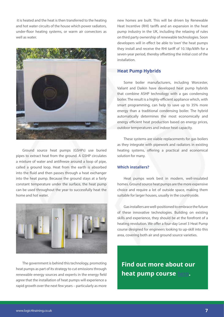it is heated and the heat is then transferred to the heating and hot water circuits of the house which power radiators, under-floor heating systems, or warm air convectors as well as water.



Ground source heat pumps (GSHPs) use buried pipes to extract heat from the ground. A GSHP circulates a mixture of water and antifreeze around a loop of pipe, called a ground loop. Heat from the earth is absorbed into the fluid and then passes through a heat exchanger into the heat pump. Because the ground stays at a fairly constant temperature under the surface, the heat pump can be used throughout the year to successfully heat the home and hot water.



The government is behind this technology, promoting heat pumps as part of its strategy to cut emissions through renewable energy sources and experts in the energy field agree that the installation of heat pumps will experience a rapid growth over the next few years – particularly as more new homes are built. This will be driven by Renewable Heat Incentive (RHI) tariffs and an expansion in the heat pump industry in the UK, including the relaxing of rules on third party ownership of renewable technologies. Soon developers will in effect be able to 'own' the heat pumps they install and receive the RHI tariff of 10.18p/kWh for a seven-year period, thereby offsetting the initial cost of the installation.

#### **Heat Pump Hybrids**

Some boiler manufacturers, including Worcester, Valiant and Daikin have developed heat pump hybrids that combine ASHP technology with a gas condensing boiler. The result is a highly-efficient appliance which, with smart programming, can help to save up to 35% more energy than a traditional condensing boiler. The hybrid automatically determines the most economically and energy efficient heat production based on energy prices, outdoor temperatures and indoor heat capacity.

These systems are viable replacements for gas boilers as they integrate with pipework and radiators in existing heating systems, offering a practical and economical solution for many.

#### **Which installers?**

Heat pumps work best in modern, well-insulated homes. Ground source heat pumps are the more expensive choice and require a lot of outside space, making them suitable for larger houses, usually in the countryside.

Gas installers are well-positioned to embrace the future of these innovative technologies. Building on existing skills and experience, they should be at the forefront of a heating revolution. We offer a four-day Level 3 Heat Pump course designed for engineers looking to up-skill into this area, covering both air and ground source varieties.

**Find out more about our heat pump course** [here](https://www.logic4training.co.uk/course/heat-pump-course/)**.**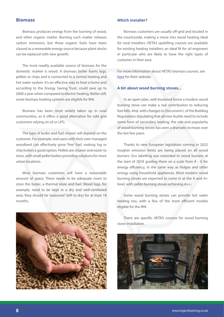#### **Biomass**

Biomass produces energy from the burning of wood, and other organic matter. Burning such matter releases carbon emissions, but these organic fuels have been classed as a renewable energy source because plant stocks can be replaced with new growth.

The most readily available source of biomass for the domestic market is wood. A biomass boiler burns logs, pellets or chips and is connected to a central heating and hot water system. It's an effective way to heat a home and according to the Energy Saving Trust, could save up to £800 a year when compared to electric heating. Better still, some biomass heating systems are eligible for RHI.

Biomass has been most widely taken up in rural communities, as it offers a good alternative for odd grid customers relying on oil or LPG.

The type of boiler and fuel chosen will depend on the customer. For example, end users with their own managed woodland can effectively grow 'free' fuel, making log or chip boilers a good option. Pellets are cleaner and easier to store, with small pellet boilers providing solutions for more urban locations.

Most biomass customers will have a reasonable amount of space. There needs to be adequate room to store the boiler, a thermal store and fuel. Wood logs, for example, need to be kept in a dry and well-ventilated area; they should be 'seasoned' (left to dry) for at least 18 months.



#### **Which installer?**

Biomass customers are usually off-grid and located in the countryside, making a move into wood heating ideal for rural installers. HETAS upskilling courses are available for existing heating installers; an ideal fit for oil engineers in particular who are likely to have the right types of customer in their area.

For more information about HETAS biomass courses, see [here](https://www.hetas.co.uk/professionals/training-courses/) for their website.

#### **A bit about wood burning stoves…**

In an open-plan, well-insulated home a modern wood burning stove can make a real contribution to reducing fuel bills. And, with changes to Document L of the Building Regulations stipulating that all new-builds need to include some form of secondary heating, the role and popularity of wood-burning stoves has seen a dramatic increase over the last few years.

Thanks to new European legislation coming in 2022 tougher emission limits are being placed on all wood burners. Eco labelling was extended to wood burners at the start of 2018 grading them on a scale from A - G for energy efficiency, in the same way as fridges and other energy using household appliances. Most modern wood burning stoves are expected to come in at the A and A+ level, with pellet-burning stoves achieving A++.

Some wood burning stoves can provide hot water heating too, with a few of the most efficient models eligible for the RHI.

There are specific HETAS courses for wood burning stove installation.

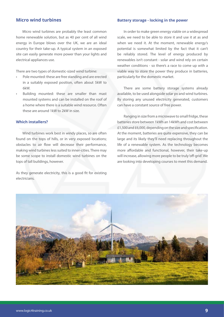#### **Micro wind turbines**

Micro wind turbines are probably the least common home renewable solution, but as 40 per cent of all wind energy in Europe blows over the UK, we are an ideal country for their take-up. A typical system in an exposed site can easily generate more power than your lights and electrical appliances use.

There are two types of domestic-sized wind turbine:

- Pole mounted: these are free standing and are erected in a suitably exposed position, often about 5kW to 6kW.
- Building mounted: these are smaller than mast mounted systems and can be installed on the roof of a home where there is a suitable wind resource. Often these are around 1kW to 2kW in size.

#### **Which installers?**

Wind turbines work best in windy places, so are often found on the tops of hills, or in very exposed locations; obstacles to air flow will decrease their performance, making wind turbines less suited to inner-cities. There may be some scope to install domestic wind turbines on the tops of tall buildings, however.

As they generate electricity, this is a good fit for existing electricians.

#### **Battery storage - locking in the power**

In order to make green energy viable on a widespread scale, we need to be able to store it and use it at as and when we need it. At the moment, renewable energy's potential is somewhat limited by the fact that it can't be reliably stored. The level of energy produced by renewables isn't constant - solar and wind rely on certain weather conditions - so there's a race to come up with a viable way to store the power they produce in batteries, particularly for the domestic market.

There are some battery storage systems already available, to be used alongside solar pv and wind turbines. By storing any unused electricity generated, customers can have a constant source of free power.

Ranging in size from a microwave to small fridge, these batteries store between 1kWh an 14kWh and cost between £1,500 and £6,000, depending on the size and specification. At the moment, batteries are quite expensive, they can be large and its likely they'll need replacing throughout the life of a renewable system. As the technology becomes more affordable and functional, however, their take-up will increase, allowing more people to be truly 'off-grid'. We are looking into developing courses to meet this demand.

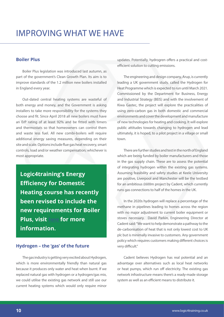#### **Boiler Plus**

Boiler Plus legislation was introduced last autumn, as part of the government's Clean Growth Plan. Its aim is to improve standards of the 1.2 million new boilers installed in England every year.

Out-dated central heating systems are wasteful of both energy and money, and the Government is asking installers to take more responsibility for the systems they choose and fit. Since April 2018 all new boilers must have an ErP rating of at least 92% and be fitted with timers and thermostats so that homeowners can control them and waste less fuel. All new combi-boilers will require additional energy saving measures, depending on their site and scale. Options include flue gas heat recovery, smart controls, load and/or weather compensation; whichever is most appropriate.

**Logic4training's Energy Efficiency for Domestic Heating course has recently been revised to include the new requirements for Boiler Plus, visit** [here](https://www.logic4training.co.uk/course/energy-efficiency-training-course/) **for more information.**

#### **Hydrogen – the 'gas' of the future**

The gas industry is getting very excited about Hydrogen, which is more environmentally friendly than natural gas because it produces only water and heat when burnt. If we replaced natural gas with hydrogen or a hydrogen/gas mix, we could utilise the existing gas network and still use our current heating systems which would only require minor updates. Potentially, hydrogren offers a practical and costefficient solution to cutting emissions.

The engineering and design company, Arup, is currently leading a UK government study, called the Hydrogen for Heat Programme which is expected to run until March 2021. Commissioned by the Department for Business, Energy and Industrial Strategy (BEIS) and with the involvement of Kiwa Gastec, the project will explore the practicalities of using zero-carbon gas in both domestic and commercial environments and cover the development and manufacture of new technologies for heating and cooking. It will explore public attitudes towards changing to hydrogen and lead ultimately, it is hoped, to a pilot project in a village or small town.

There are further studies and test in the north of England which are being funded by boiler manufacturers and those in the gas supply chain. These are to assess the potential of integrating hydrogen within the existing gas systems. Assuming feasibility and safety studies at Keele University are positive, Liverpool and Manchester will be the testbed for an ambitious £600m project by Cadent, which currently runs gas connections to half of the homes in the UK.

In the 2020s hydrogen will replace a percentage of the methane in pipelines leading to homes across the region with no major adjustment to current boiler equipment or stoves necessary. David Parkin, Engineering Director at Cadent said: "We want to help demonstrate a pathway to the de-carbonisation of heat that is not only lowest cost to UK plc but is minimally invasive to customers. Any government policy which requires customers making different choices is very difficult."

Cadent believes Hydrogen has real potential and an advantage over alternatives such as local heat networks or heat pumps, which run off electricity. The existing gas network infrastructure means there's a ready-made storage system as well as an efficient means to distribute it.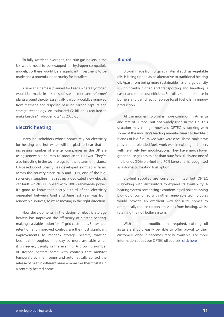To fully switch to hydrogen, the 26m gas boilers in the UK would need to be swapped for hydrogen-compatible models, so there would be a significant investment to be made and a potential opportunity for installers.

A similar scheme is planned for Leeds where Hydrogen would be made in a series of 'steam methane reformer' plants around the city. Essentially, carbon would be removed from methane and disposed of using carbon capture and storage technology. An estimated £2 billion is required to make Leeds a "hydrogen city" by 2025-30.

#### **Electric heating**

Many householders whose homes rely on electricity for heating and hot water will be glad to hear that an increasing number of energy companies in the UK are using renewable sources to produce this power. They're also investing in the technology for the future; for instance UK-based Good Energy has developed eight solar farms across the country since 2015 and E.ON, one of the bigsix energy suppliers, has set up a dedicated new electric car tariff which is supplied with 100% renewable power. It's good to know that nearly a third of the electricity generated between April and June last year was from renewable sources, so we're moving in the right direction.

New developments in the design of electric storage heaters has improved the efficiency of electric heating, making it a viable option for off-grid customers. Better heat retention and improved controls are the most significant improvements to modern storage heaters, wasting less heat throughout the day so more available when it is needed; usually in the evening. A growing number of storage heaters come with controls that monitor temperatures in all rooms and automatically control the release of heat in different areas – more like thermostats in a centrally heated home.

#### **Bio-oil**

Bio-oil, made from organic material such as vegetable oils, is being tipped as an alternative to traditional heating oil. Apart from being more sustainable, it's energy density is significantly higher, and transporting and handling is easier and more cost-efficient. Bio-oil is suitable for use in burners and can directly replace fossil fuel oils in energy production.

At the moment, bio oil is more common in America and rest of Europe, but not widely used in the UK. This situation may change, however. OFTEC is working with some of the industry's leading manufacturers to field-test blends of bio-fuel mixed with kerosene. These trials have proven that blended fuels work well in existing oil boilers with relatively few modifications. They have much lower greenhouse gas emissions than pure fossil fuels and one of the blends (30% bio-fuel and 70% kerosene) is recognised as a domestic heating fuel option.

Bio-fuel supplies are currently limited but OFTEC is working with distributors to expand its availability. A heating system comprising a condensing oil boiler running bio-liquid, combined with other renewable technologies would provide an excellent way for rural homes to dramatically reduce carbon emissions from heating, whilst retaining their oil boiler system.

With minimal modifications required, existing oil installers should easily be able to offer bio-oil to their customers once it becomes readily available. For more information about our OFTEC oil courses, [click here.](https://www.logic4training.co.uk/courses/oil/)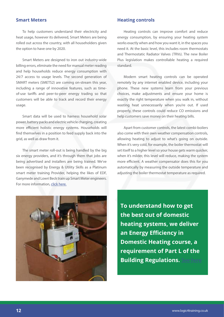#### **Smart Meters**

To help customers understand their electricity and heat usage, however its delivered, Smart Meters are being rolled out across the country, with all householders given the option to have one by 2020.

Smart Meters are designed to iron out industry-wide billing errors, eliminate the need for manual meter reading and help households reduce energy consumption with 24/7 access to usage levels. The second generation of SMART meters (SMETS2) are coming on-stream this year, including a range of innovative features, such as timeof-use tariffs and peer-to-peer energy trading so that customers will be able to track and record their energy usage.

Smart data will be used to harness household solar power, battery packs and electric vehicle charging, creating more efficient holistic energy systems. Households will find themselves in a position to feed supply back into the grid, as well as draw from it.

The smart meter roll-out is being handled by the big six energy providers, and it's through them that jobs are being advertised and installers are being trained. We've been recognised by Energy & Utility Skills as a Platinum smart meter training Provider, helping the likes of EDF, Ganymede and Lowri Beck train up Smart Meter engineers. For more information, [click here.](https://www.logic4training.co.uk/courses/smart-meters/)

#### **Heating controls**

Heating controls can improve comfort and reduce energy consumption, by ensuring your heating system works exactly when and how you want it, in the spaces you need it. At the basic level, this includes room thermostats and Thermostatic Radiator Valves (TRVs). The new Boiler Plus legislation makes controllable heating a required standard.

Modern smart heating controls can be operated remotely by any internet enabled device, including your phone. These new systems learn from your previous choices, make adjustments and ensure your home is exactly the right temperature when you walk in, without wasting heat unnecessarily when you're out. If used properly, these controls could reduce CO emissions and help customers save money on their heating bills.

Apart from customer controls, the latest combi-boilers also come with their own weather compensation controls, allowing heating to adjust to what's going on outside. When it's very cold, for example, the boiler thermostat will set itself to a higher level so your house gets warm quicker, when it's milder, this level will reduce, making the system more efficient. A weather compensator does this for you automatically by measuring the outside temperature and adjusting the boiler thermostat temperature as required.



**To understand how to get the best out of domestic heating systems, we deliver an Energy Efficiency in Domestic Heating course, a requirement of Part L of the Building Regulations.** [See here](https://www.logic4training.co.uk/course/energy-efficiency-training-course/)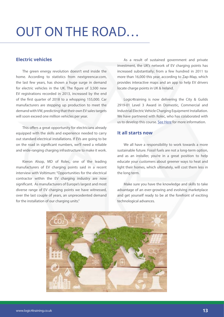## OUT ON THE ROAD…

#### **Electric vehicles**

The green energy revolution doesn't end inside the home. According to statistics from nextgreencar.com, the last few years, has shown a huge surge in demand for electric vehicles in the UK. The figure of 3,500 new EV registrations recorded in 2013, increased by the end of the first quarter of 2018 to a whopping 155,000. Car manufacturers are stepping up production to meet the demand with VW, predicting that their own EV sales targets will soon exceed one million vehicles per year.

This offers a great opportunity for electricians already equipped with the skills and experience needed to carry out standard electrical installations. If EVs are going to be on the road in significant numbers, we'll need a reliable and wide-ranging charging infrastructure to make it work.

Kieron Alsop, MD of Rolec, one of the leading manufacturers of EV charging points said in a recent interview with Voltimum: "Opportunities for the electrical contractor within the EV charging industry are now significant. As manufacturers of Europe's largest and most diverse range of EV charging points we have witnessed, over the last couple of years, an unprecedented demand for the installation of our charging units."

As a result of sustained government and private investment, the UK's network of EV charging points has increased substantially; from a few hundred in 2011 to more than 16,000 this year, according to Zap-Map, which provides interactive maps and an app to help EV drivers locate charge points in UK & Ireland.

Logic4training is now delivering the City & Guilds 2919-01 Level 3 Award in Domestic, Commercial and Industrial Electric Vehicle Charging Equipment Installation. We have partnered with Rolec, who has colaborated with us to develop this course. [See Here](https://www.logic4training.co.uk/course/electric-vehicle-charging-point-installer-course/) for more information.

#### **It all starts now**

We all have a responsibility to work towards a more sustainable future. Fossil fuels are not a long-term option, and as an installer, you're in a great position to help educate your customers about greener ways to heat and light their homes, which ultimately, will cost them less in the long term.

Make sure you have the knowledge and skills to take advantage of an ever-growing and evolving marketplace and get yourself ready to be at the forefront of exciting technological advances.